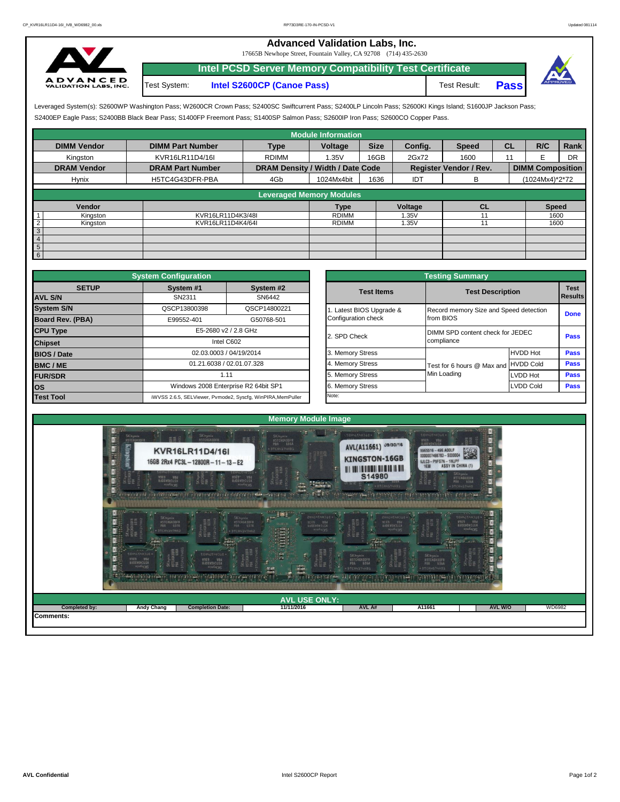## **Advanced Validation Labs, Inc.**

17665B Newhope Street, Fountain Valley, CA 92708 (714) 435-2630



Test System: **Intel S2600CP (Canoe Pass)** Test Result: **Pass Intel PCSD Server Memory Compatibility Test Certificate**



S2400EP Eagle Pass; S2400BB Black Bear Pass; S1400FP Freemont Pass; S1400SP Salmon Pass; S2600IP Iron Pass; S2600CO Copper Pass. Leveraged System(s): S2600WP Washington Pass; W2600CR Crown Pass; S2400SC Swiftcurrent Pass; S2400LP Lincoln Pass; S2600KI Kings Island; S1600JP Jackson Pass;

|                            |                         |                                  | <b>Module Information</b>       |             |         |                               |                |                         |      |
|----------------------------|-------------------------|----------------------------------|---------------------------------|-------------|---------|-------------------------------|----------------|-------------------------|------|
| <b>DIMM Vendor</b>         | <b>DIMM Part Number</b> | <b>Type</b>                      | Voltage                         | <b>Size</b> | Config. | <b>Speed</b>                  | <b>CL</b>      | R/C                     | Rank |
| Kingston                   | KVR16LR11D4/16I         | <b>RDIMM</b>                     | 1.35V                           | 16GB        | 2Gx72   | 1600                          | 11             |                         | DR   |
| <b>DRAM Vendor</b>         | <b>DRAM Part Number</b> | DRAM Density / Width / Date Code |                                 |             |         | <b>Register Vendor / Rev.</b> |                | <b>DIMM Composition</b> |      |
| Hynix                      | H5TC4G43DFR-PBA         | 4Gb                              | 1024Mx4bit                      | 1636        | IDT     | в                             | (1024Mx4)*2*72 |                         |      |
|                            |                         |                                  |                                 |             |         |                               |                |                         |      |
|                            |                         |                                  | <b>Leveraged Memory Modules</b> |             |         |                               |                |                         |      |
| Vendor                     |                         |                                  | Type                            |             | Voltage | <b>CL</b>                     |                | <b>Speed</b>            |      |
| Kingston                   | KVR16LR11D4K3/48I       |                                  | <b>RDIMM</b>                    |             | 1.35V   |                               |                | 1600                    |      |
| $\overline{c}$<br>Kingston | KVR16LR11D4K4/64I       |                                  | <b>RDIMM</b>                    |             | 1.35V   |                               |                | 1600                    |      |
| $\sqrt{3}$                 |                         |                                  |                                 |             |         |                               |                |                         |      |
| $\overline{4}$             |                         |                                  |                                 |             |         |                               |                |                         |      |
| $5\overline{)}$            |                         |                                  |                                 |             |         |                               |                |                         |      |
| $6\overline{6}$            |                         |                                  |                                 |             |         |                               |                |                         |      |

|                         | <b>System Configuration</b> |                                                             |  | <b>Testing Summary</b> |                                                |                  |  |  |
|-------------------------|-----------------------------|-------------------------------------------------------------|--|------------------------|------------------------------------------------|------------------|--|--|
| <b>SETUP</b>            | System #1                   | System #2                                                   |  | <b>Test Items</b>      | <b>Test Description</b>                        |                  |  |  |
| <b>AVL S/N</b>          | SN2311                      | SN6442                                                      |  |                        |                                                |                  |  |  |
| <b>System S/N</b>       | QSCP13800398                | QSCP14800221                                                |  | Latest BIOS Upgrade &  | Record memory Size and Speed detectio          |                  |  |  |
| <b>Board Rev. (PBA)</b> | E99552-401                  | G50768-501                                                  |  | Configuration check    | from BIOS                                      |                  |  |  |
| <b>CPU Type</b>         |                             | E5-2680 v2 / 2.8 GHz                                        |  | 2. SPD Check           | DIMM SPD content check for JEDEC<br>compliance |                  |  |  |
| <b>Chipset</b>          |                             | Intel C602                                                  |  |                        |                                                |                  |  |  |
| <b>BIOS / Date</b>      |                             | 02.03.0003 / 04/19/2014                                     |  | 3. Memory Stress       |                                                | <b>HVDD Hot</b>  |  |  |
| <b>BMC/ME</b>           |                             | 01.21.6038 / 02.01.07.328                                   |  | 4. Memory Stress       | Test for 6 hours @ Max and HVDD Cold           |                  |  |  |
| <b>FUR/SDR</b>          |                             | 1.11                                                        |  | 5. Memory Stress       | Min Loading                                    | LVDD Hot         |  |  |
| los                     |                             | Windows 2008 Enterprise R2 64bit SP1                        |  | 6. Memory Stress       |                                                | <b>LVDD Cold</b> |  |  |
| <b>Test Tool</b>        |                             | iWVSS 2.6.5, SELViewer, Pvmode2, Syscfg, WinPIRA, MemPuller |  | Note:                  |                                                |                  |  |  |

| <b>ifiquration</b>         |                                                     | <b>Testing Summary</b> |                                        |                  |                |  |  |  |  |
|----------------------------|-----------------------------------------------------|------------------------|----------------------------------------|------------------|----------------|--|--|--|--|
| vstem #1                   | System #2                                           | <b>Test Items</b>      | <b>Test Description</b>                |                  | <b>Test</b>    |  |  |  |  |
| SN2311                     | SN6442                                              |                        |                                        |                  | <b>Results</b> |  |  |  |  |
| CP13800398<br>QSCP14800221 |                                                     | Latest BIOS Upgrade &  | Record memory Size and Speed detection | <b>Done</b>      |                |  |  |  |  |
| 39552-401                  | G50768-501                                          | Configuration check    | from BIOS                              |                  |                |  |  |  |  |
| E5-2680 v2 / 2.8 GHz       |                                                     | 2. SPD Check           | DIMM SPD content check for JEDEC       | Pass             |                |  |  |  |  |
|                            | Intel C602                                          |                        | compliance                             |                  |                |  |  |  |  |
|                            | 02.03.0003 / 04/19/2014                             | 3. Memory Stress       |                                        | <b>HVDD Hot</b>  | <b>Pass</b>    |  |  |  |  |
|                            | 01.21.6038 / 02.01.07.328                           | 4. Memory Stress       | Test for 6 hours @ Max and             | <b>HVDD Cold</b> | Pass           |  |  |  |  |
| 1.11                       |                                                     | 5. Memory Stress       | Min Loading                            | <b>LVDD Hot</b>  | <b>Pass</b>    |  |  |  |  |
|                            | Vindows 2008 Enterprise R2 64bit SP1                | 6. Memory Stress       |                                        | <b>LVDD Cold</b> | Pass           |  |  |  |  |
|                            | 6.5, SELViewer, Pvmode2, Syscfg, WinPIRA, MemPuller | Note:                  |                                        |                  |                |  |  |  |  |